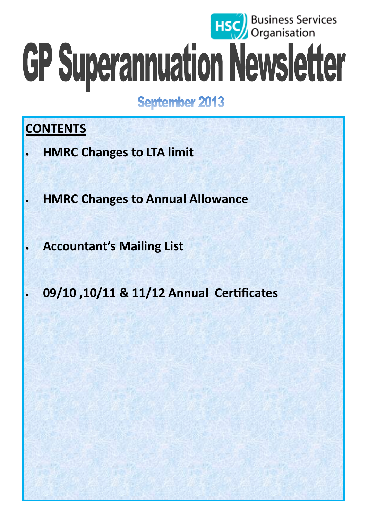# **HSC** Business Services GP Superannuation Newsletter

**September 2013** 

# **CONTENTS**

- **HMRC Changes to LTA limit**
- **HMRC Changes to Annual Allowance**
- **Accountant's Mailing List** 
	- **09/10 ,10/11 & 11/12 Annual Certificates**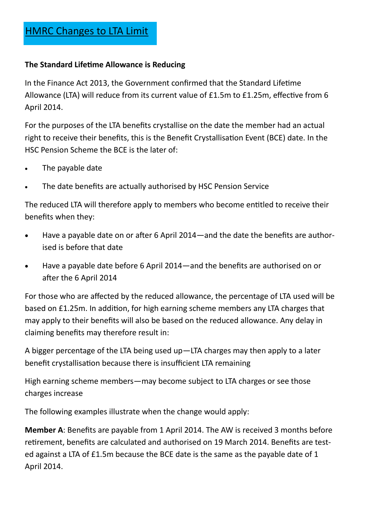#### **The Standard Lifetime Allowance is Reducing**

In the Finance Act 2013, the Government confirmed that the Standard Lifetime Allowance (LTA) will reduce from its current value of £1.5m to £1.25m, effective from 6 April 2014.

For the purposes of the LTA benefits crystallise on the date the member had an actual right to receive their benefits, this is the Benefit Crystallisation Event (BCE) date. In the HSC Pension Scheme the BCE is the later of:

- The payable date
- The date benefits are actually authorised by HSC Pension Service

The reduced LTA will therefore apply to members who become entitled to receive their benefits when they:

- Have a payable date on or after 6 April 2014—and the date the benefits are authorised is before that date
- Have a payable date before 6 April 2014—and the benefits are authorised on or after the 6 April 2014

For those who are affected by the reduced allowance, the percentage of LTA used will be based on £1.25m. In addition, for high earning scheme members any LTA charges that may apply to their benefits will also be based on the reduced allowance. Any delay in claiming benefits may therefore result in:

A bigger percentage of the LTA being used up—LTA charges may then apply to a later benefit crystallisation because there is insufficient LTA remaining

High earning scheme members—may become subject to LTA charges or see those charges increase

The following examples illustrate when the change would apply:

**Member A**: Benefits are payable from 1 April 2014. The AW is received 3 months before retirement, benefits are calculated and authorised on 19 March 2014. Benefits are tested against a LTA of £1.5m because the BCE date is the same as the payable date of 1 April 2014.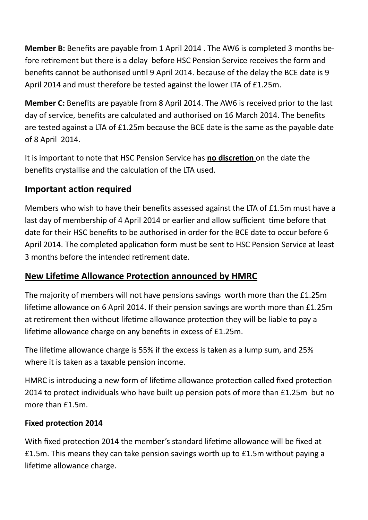<span id="page-2-0"></span>**Member B:** Benefits are payable from 1 April 2014 . The AW6 is completed 3 months before retirement but there is a delay before HSC Pension Service receives the form and benefits cannot be authorised until 9 April 2014. because of the delay the BCE date is 9 April 2014 and must therefore be tested against the lower LTA of £1.25m.

**Member C:** Benefits are payable from 8 April 2014. The AW6 is received prior to the last day of service, benefits are calculated and authorised on 16 March 2014. The benefits are tested against a LTA of £1.25m because the BCE date is the same as the payable date of 8 April 2014.

It is important to note that HSC Pension Service has **no discretion** on the date the benefits crystallise and the calculation of the LTA used.

#### **Important action required**

Members who wish to have their benefits assessed against the LTA of £1.5m must have a last day of membership of 4 April 2014 or earlier and allow sufficient time before that date for their HSC benefits to be authorised in order for the BCE date to occur before 6 April 2014. The completed application form must be sent to HSC Pension Service at least 3 months before the intended retirement date.

#### **New Lifetime Allowance Protection announced by HMRC**

The majority of members will not have pensions savings worth more than the £1.25m lifetime allowance on 6 April 2014. If their pension savings are worth more than £1.25m at retirement then without lifetime allowance protection they will be liable to pay a lifetime allowance charge on any benefits in excess of £1.25m.

The lifetime allowance charge is 55% if the excess is taken as a lump sum, and 25% where it is taken as a taxable pension income.

HMRC is introducing a new form of lifetime allowance protection called fixed protection 2014 to protect individuals who have built up pension pots of more than £1.25m but no more than £1.5m.

#### **Fixed protection 2014**

With fixed protection 2014 the member's standard lifetime allowance will be fixed at £1.5m. This means they can take pension savings worth up to £1.5m without paying a lifetime allowance charge.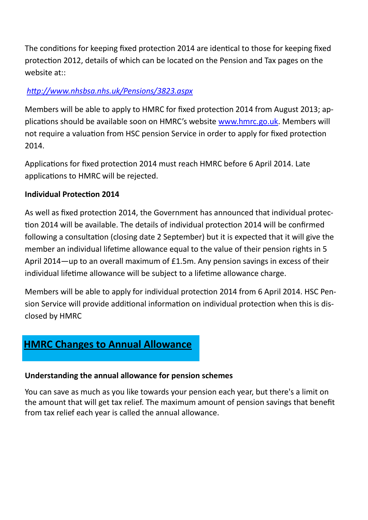The conditions for keeping fixed protection 2014 are identical to those for keeping fixed protection 2012, details of which can be located on the Pension and Tax pages on the website at::

#### *[http://www.nhsbsa.nhs.uk/Pensions/3823.aspx](#page-2-0)*

Members will be able to apply to HMRC for fixed protection 2014 from August 2013; applications should be available soon on HMRC's website [www.hmrc.go.uk.](#page-2-0) Members will not require a valuation from HSC pension Service in order to apply for fixed protection 2014.

Applications for fixed protection 2014 must reach HMRC before 6 April 2014. Late applications to HMRC will be rejected.

#### **Individual Protection 2014**

As well as fixed protection 2014, the Government has announced that individual protection 2014 will be available. The details of individual protection 2014 will be confirmed following a consultation (closing date 2 September) but it is expected that it will give the member an individual lifetime allowance equal to the value of their pension rights in 5 April 2014—up to an overall maximum of £1.5m. Any pension savings in excess of their individual lifetime allowance will be subject to a lifetime allowance charge.

Members will be able to apply for individual protection 2014 from 6 April 2014. HSC Pension Service will provide additional information on individual protection when this is disclosed by HMRC

# **HMRC Changes to Annual Allowance**

#### **Understanding the annual allowance for pension schemes**

You can save as much as you like towards your pension each year, but there's a limit on the amount that will get tax relief. The maximum amount of pension savings that benefit from tax relief each year is called the annual allowance.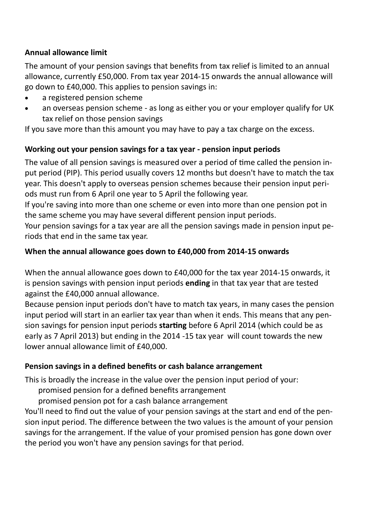#### **Annual allowance limit**

The amount of your pension savings that benefits from tax relief is limited to an annual allowance, currently £50,000. From tax year 2014-15 onwards the annual allowance will go down to £40,000. This applies to pension savings in:

- a registered pension scheme
- an overseas pension scheme as long as either you or your employer qualify for UK tax relief on those pension savings

If you save more than this amount you may have to pay a tax charge on the excess.

#### **Working out your pension savings for a tax year - pension input periods**

The value of all pension savings is measured over a period of time called the pension input period (PIP). This period usually covers 12 months but doesn't have to match the tax year. This doesn't apply to overseas pension schemes because their pension input periods must run from 6 April one year to 5 April the following year.

If you're saving into more than one scheme or even into more than one pension pot in the same scheme you may have several different pension input periods.

Your pension savings for a tax year are all the pension savings made in pension input periods that end in the same tax year.

#### **When the annual allowance goes down to £40,000 from 2014-15 onwards**

When the annual allowance goes down to £40,000 for the tax year 2014-15 onwards, it is pension savings with pension input periods **ending** in that tax year that are tested against the £40,000 annual allowance.

Because pension input periods don't have to match tax years, in many cases the pension input period will start in an earlier tax year than when it ends. This means that any pension savings for pension input periods **starting** before 6 April 2014 (which could be as early as 7 April 2013) but ending in the 2014 -15 tax year will count towards the new lower annual allowance limit of £40,000.

#### **Pension savings in a defined benefits or cash balance arrangement**

This is broadly the increase in the value over the pension input period of your:

- promised pension for a defined benefits arrangement
- promised pension pot for a cash balance arrangement

You'll need to find out the value of your pension savings at the start and end of the pension input period. The difference between the two values is the amount of your pension savings for the arrangement. If the value of your promised pension has gone down over the period you won't have any pension savings for that period.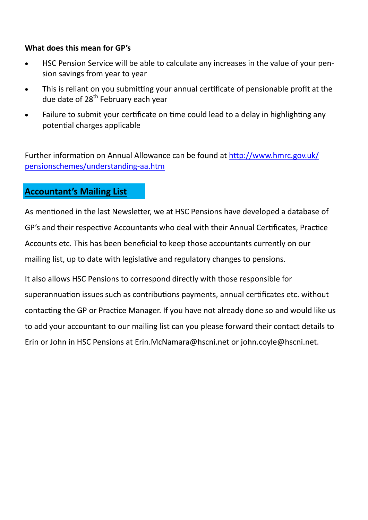#### **What does this mean for GP's**

- HSC Pension Service will be able to calculate any increases in the value of your pension savings from year to year
- This is reliant on you submitting your annual certificate of pensionable profit at the due date of  $28<sup>th</sup>$  February each year
- Failure to submit your certificate on time could lead to a delay in highlighting any potential charges applicable

Further information on Annual Allowance can be found at [http://www.hmrc.gov.uk/](http://www.hmrc.gov.uk/pensionschemes/understanding-aa.htm) [pensionschemes/understanding](http://www.hmrc.gov.uk/pensionschemes/understanding-aa.htm)-aa.htm

#### **Accountant's Mailing List**

As mentioned in the last Newsletter, we at HSC Pensions have developed a database of GP's and their respective Accountants who deal with their Annual Certificates, Practice Accounts etc. This has been beneficial to keep those accountants currently on our mailing list, up to date with legislative and regulatory changes to pensions.

It also allows HSC Pensions to correspond directly with those responsible for superannuation issues such as contributions payments, annual certificates etc. without contacting the GP or Practice Manager. If you have not already done so and would like us to add your accountant to our mailing list can you please forward their contact details to Erin or John in HSC Pensions at Erin.McNamara[@hscni.net](mailto:Trudy.harkness@hscni.net) or [john.coyle@hscni.net.](mailto:john.coyle@hscni.net)